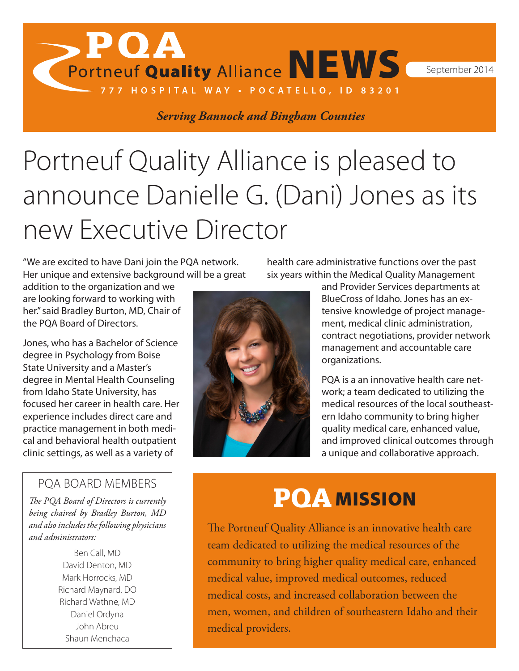Portneuf Quality Alliance NEWS September 2014

*Serving Bannock and Bingham Counties*

**777 HOSPITAL WAY • POCATELLO, ID 83201**

# Portneuf Quality Alliance is pleased to announce Danielle G. (Dani) Jones as its new Executive Director

"We are excited to have Dani join the PQA network. Her unique and extensive background will be a great

**, POA** 

addition to the organization and we are looking forward to working with her." said Bradley Burton, MD, Chair of the PQA Board of Directors.

Jones, who has a Bachelor of Science degree in Psychology from Boise State University and a Master's degree in Mental Health Counseling from Idaho State University, has focused her career in health care. Her experience includes direct care and practice management in both medical and behavioral health outpatient clinic settings, as well as a variety of

#### PQA BOARD MEMBERS

*The PQA Board of Directors is currently being chaired by Bradley Burton, MD and also includes the following physicians and administrators:*

> Ben Call, MD David Denton, MD Mark Horrocks, MD Richard Maynard, DO Richard Wathne, MD Daniel Ordyna John Abreu Shaun Menchaca



health care administrative functions over the past six years within the Medical Quality Management

> and Provider Services departments at BlueCross of Idaho. Jones has an extensive knowledge of project management, medical clinic administration, contract negotiations, provider network management and accountable care organizations.

PQA is a an innovative health care network; a team dedicated to utilizing the medical resources of the local southeastern Idaho community to bring higher quality medical care, enhanced value, and improved clinical outcomes through a unique and collaborative approach.

### PQA MISSION

The Portneuf Quality Alliance is an innovative health care team dedicated to utilizing the medical resources of the community to bring higher quality medical care, enhanced medical value, improved medical outcomes, reduced medical costs, and increased collaboration between the men, women, and children of southeastern Idaho and their medical providers.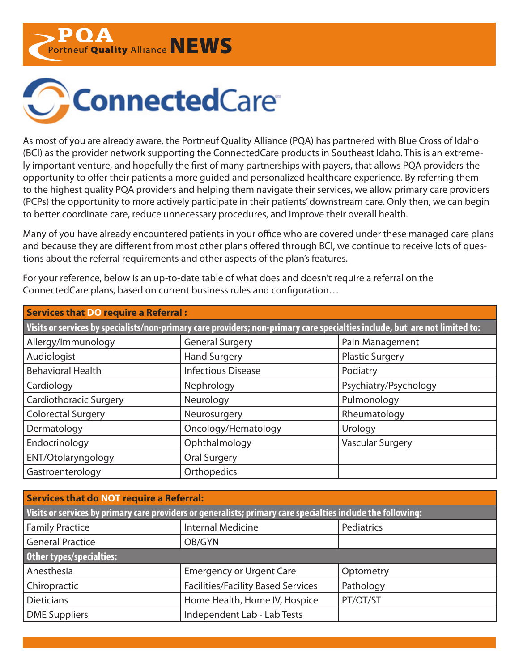Portneuf Quality Alliance NEWS



As most of you are already aware, the Portneuf Quality Alliance (PQA) has partnered with Blue Cross of Idaho (BCI) as the provider network supporting the ConnectedCare products in Southeast Idaho. This is an extremely important venture, and hopefully the first of many partnerships with payers, that allows PQA providers the opportunity to offer their patients a more guided and personalized healthcare experience. By referring them to the highest quality PQA providers and helping them navigate their services, we allow primary care providers (PCPs) the opportunity to more actively participate in their patients' downstream care. Only then, we can begin to better coordinate care, reduce unnecessary procedures, and improve their overall health.

Many of you have already encountered patients in your office who are covered under these managed care plans and because they are different from most other plans offered through BCI, we continue to receive lots of questions about the referral requirements and other aspects of the plan's features.

For your reference, below is an up-to-date table of what does and doesn't require a referral on the ConnectedCare plans, based on current business rules and configuration…

| <b>Services that DO require a Referral:</b>                                                                                 |                           |                         |  |  |  |
|-----------------------------------------------------------------------------------------------------------------------------|---------------------------|-------------------------|--|--|--|
| Visits or services by specialists/non-primary care providers; non-primary care specialties include, but are not limited to: |                           |                         |  |  |  |
| Allergy/Immunology                                                                                                          | <b>General Surgery</b>    | Pain Management         |  |  |  |
| Audiologist                                                                                                                 | <b>Hand Surgery</b>       | <b>Plastic Surgery</b>  |  |  |  |
| <b>Behavioral Health</b>                                                                                                    | <b>Infectious Disease</b> | Podiatry                |  |  |  |
| Cardiology                                                                                                                  | Nephrology                | Psychiatry/Psychology   |  |  |  |
| <b>Cardiothoracic Surgery</b>                                                                                               | Neurology                 | Pulmonology             |  |  |  |
| <b>Colorectal Surgery</b>                                                                                                   | Neurosurgery              | Rheumatology            |  |  |  |
| Dermatology                                                                                                                 | Oncology/Hematology       | Urology                 |  |  |  |
| Endocrinology                                                                                                               | Ophthalmology             | <b>Vascular Surgery</b> |  |  |  |
| ENT/Otolaryngology                                                                                                          | <b>Oral Surgery</b>       |                         |  |  |  |
| Gastroenterology                                                                                                            | Orthopedics               |                         |  |  |  |

| <b>Services that do NOT require a Referral:</b>                                                              |                                           |            |  |  |  |
|--------------------------------------------------------------------------------------------------------------|-------------------------------------------|------------|--|--|--|
| Visits or services by primary care providers or generalists; primary care specialties include the following: |                                           |            |  |  |  |
| <b>Family Practice</b>                                                                                       | <b>Internal Medicine</b>                  | Pediatrics |  |  |  |
| <b>General Practice</b>                                                                                      | OB/GYN                                    |            |  |  |  |
| Other types/specialties:                                                                                     |                                           |            |  |  |  |
| Anesthesia                                                                                                   | <b>Emergency or Urgent Care</b>           | Optometry  |  |  |  |
| Chiropractic                                                                                                 | <b>Facilities/Facility Based Services</b> | Pathology  |  |  |  |
| <b>Dieticians</b>                                                                                            | Home Health, Home IV, Hospice             | PT/OT/ST   |  |  |  |
| <b>DME Suppliers</b>                                                                                         | Independent Lab - Lab Tests               |            |  |  |  |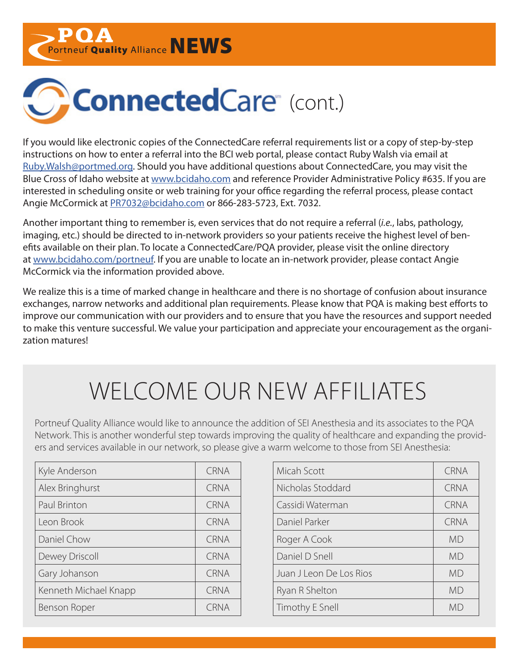Portneuf Quality Alliance NEWS



If you would like electronic copies of the ConnectedCare referral requirements list or a copy of step-by-step instructions on how to enter a referral into the BCI web portal, please contact Ruby Walsh via email at [Ruby.Walsh@portmed.org.](mailto:Ruby.Walsh%40portmed.org?subject=ConnectedCare%20Referral%20Requirements) Should you have additional questions about ConnectedCare, you may visit the Blue Cross of Idaho website at [www.bcidaho.com](http://www.bcidaho.com) and reference Provider Administrative Policy #635. If you are interested in scheduling onsite or web training for your office regarding the referral process, please contact Angie McCormick at [PR7032@bcidaho.com](mailto:PR7032%40bcidaho.com?subject=ConnectedCare%20Onsite%20or%20Web%20Training) or 866-283-5723, Ext. 7032.

Another important thing to remember is, even services that do not require a referral (*i.e.*, labs, pathology, imaging, etc.) should be directed to in-network providers so your patients receive the highest level of benefits available on their plan. To locate a ConnectedCare/PQA provider, please visit the online directory at [www.bcidaho.com/portneuf](http://www.bcidaho.com/portneuf). If you are unable to locate an in-network provider, please contact Angie McCormick via the information provided above.

We realize this is a time of marked change in healthcare and there is no shortage of confusion about insurance exchanges, narrow networks and additional plan requirements. Please know that PQA is making best efforts to improve our communication with our providers and to ensure that you have the resources and support needed to make this venture successful. We value your participation and appreciate your encouragement as the organization matures!

# WELCOME OUR NEW AFFILIATES

Portneuf Quality Alliance would like to announce the addition of SEI Anesthesia and its associates to the PQA Network. This is another wonderful step towards improving the quality of healthcare and expanding the providers and services available in our network, so please give a warm welcome to those from SEI Anesthesia:

| Kyle Anderson         | <b>CRNA</b> | Micah Scott             | CRNA      |
|-----------------------|-------------|-------------------------|-----------|
| Alex Bringhurst       | <b>CRNA</b> | Nicholas Stoddard       | CRNA      |
| Paul Brinton          | <b>CRNA</b> | Cassidi Waterman        | CRNA      |
| Leon Brook            | <b>CRNA</b> | Daniel Parker           | CRNA      |
| Daniel Chow           | <b>CRNA</b> | Roger A Cook            | <b>MD</b> |
| Dewey Driscoll        | <b>CRNA</b> | Daniel D Snell          | <b>MD</b> |
| Gary Johanson         | <b>CRNA</b> | Juan J Leon De Los Rios | <b>MD</b> |
| Kenneth Michael Knapp | <b>CRNA</b> | Ryan R Shelton          | <b>MD</b> |
| Benson Roper          | <b>CRNA</b> | Timothy E Snell         | <b>MD</b> |
|                       |             |                         |           |

| Micah Scott             | <b>CRNA</b> |
|-------------------------|-------------|
| Nicholas Stoddard       | <b>CRNA</b> |
| Cassidi Waterman        | <b>CRNA</b> |
| Daniel Parker           | <b>CRNA</b> |
| Roger A Cook            | MD          |
| Daniel D Snell          | MD          |
| Juan J Leon De Los Rios | <b>MD</b>   |
| Ryan R Shelton          | MD          |
| Timothy E Snell         | MD          |